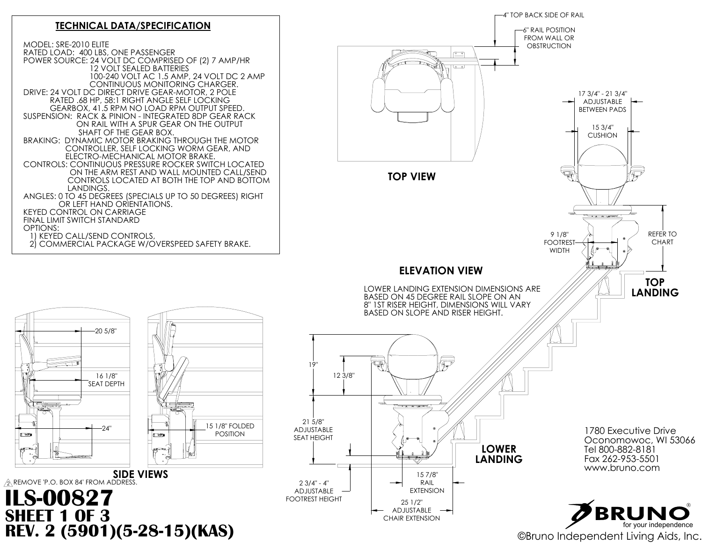

MODEL: SRE-2010 ELITE

## $\sqrt{2}$  REMOVE 'P.O. BOX 84' FROM ADDRESS. **SIDE VIEWS ILS-00827 SHEET 1 OF 3**





 $\begin{array}{|c|} \hline \textcircled{1} \end{array}$ 





#### **TECHNICAL DATA/SPECIFICATION**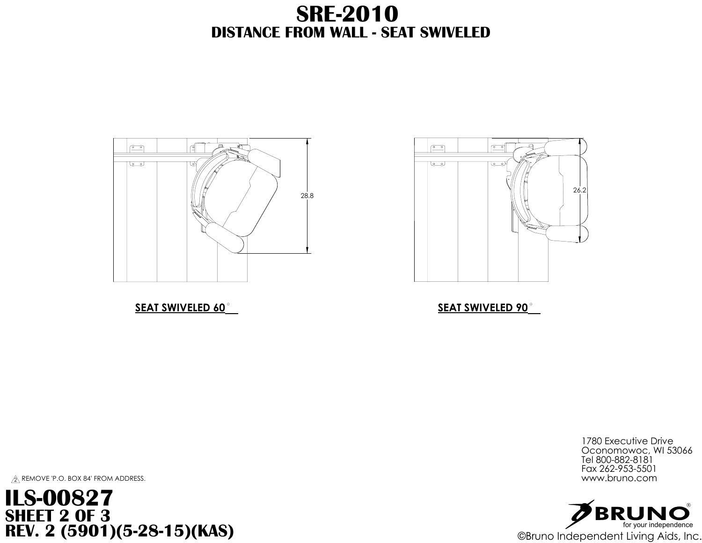



#### **SEAT SWIVELED 90**

1780 Executive Drive Oconomowoc, WI 53066 Tel 800-882-8181 Fax 262-953-5501<br>www.bruno.com

# **DISTANCE FROM WALL - SEAT SWIVELED SRE-2010**





 $\hat{\mathbb{Z}}$  remove 'p.o. box 84' from address. www.bruno.com

### SEAT SWIVELED 60